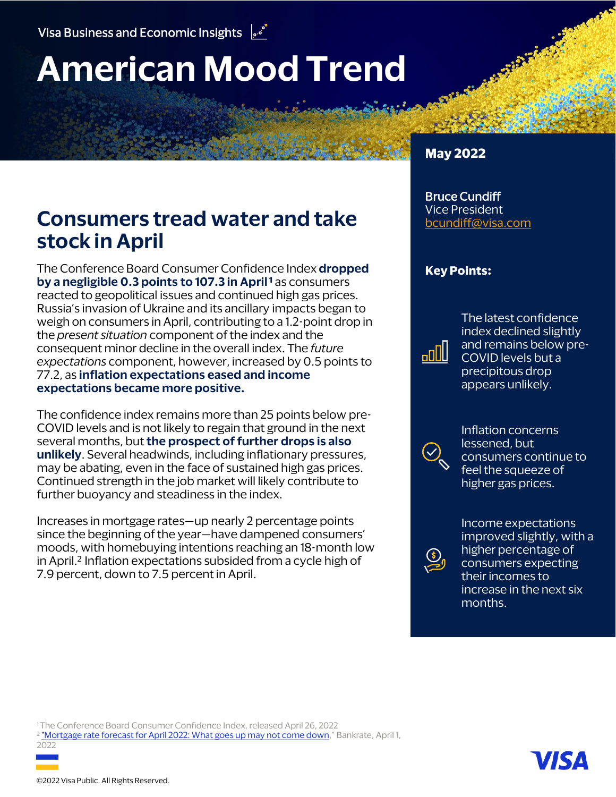# **American Mood Trend**

# **Consumers tread water and take stock in April**

The Conference Board Consumer Confidence Index **dropped by a negligible 0.3 points to 107.3 in April <sup>1</sup>** as consumers reacted to geopolitical issues and continued high gas prices. Russia's invasion of Ukraine and its ancillary impacts began to weigh on consumers in April, contributing to a 1.2-point drop in the *present situation* component of the index and the consequent minor decline in the overall index. The *future expectations* component, however, increased by 0.5 points to 77.2, as **inflation expectations eased and income expectations became more positive.**

The confidence index remains more than 25 points below pre-COVID levels and is not likely to regain that ground in the next several months, but **the prospect of further drops is also unlikely**. Several headwinds, including inflationary pressures, may be abating, even in the face of sustained high gas prices. Continued strength in the job market will likely contribute to further buoyancy and steadiness in the index.

Increases in mortgage rates—up nearly 2 percentage points since the beginning of the year—have dampened consumers' moods, with homebuying intentions reaching an 18-month low in April.<sup>2</sup> Inflation expectations subsided from a cycle high of 7.9 percent, down to 7.5 percent in April.

#### **May 2022**

#### Bruce Cundiff Vice President [bcundiff@visa.com](mailto:bcundiff@visa.com?subject=American%20Mood%20Trend)

#### **Key Points:**

The latest confidence index declined slightly and remains below pre-COVID levels but a precipitous drop appears unlikely.



**UDoa** 

Inflation concerns lessened, but consumers continue to feel the squeeze of higher gas prices.



Income expectations improved slightly, with a higher percentage of consumers expecting their incomes to increase in the next six months.

<sup>1</sup>The Conference Board Consumer Confidence Index, released April 26, 2022 <sup>2</sup> "Mortgage [rate forecast for](https://www.bankrate.com/mortgages/mortgage-rate-forecast-for-april/) April 2022: What goes up may not come down," Bankrate, April 1,

2022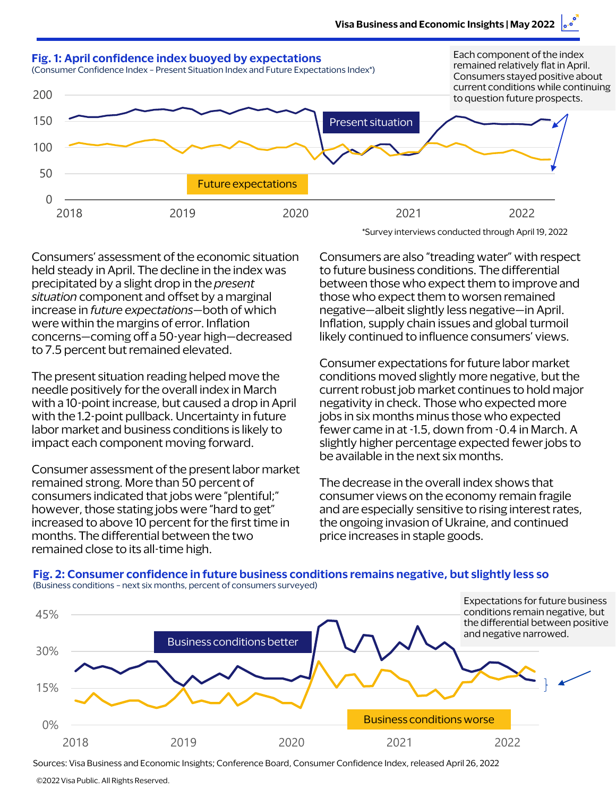

Consumers' assessment of the economic situation held steady in April. The decline in the index was precipitated by a slight drop in the *present situation* component and offset by a marginal increase in *future expectations*—both of which were within the margins of error. Inflation concerns—coming off a 50-year high—decreased to 7.5 percent but remained elevated.

The present situation reading helped move the needle positively for the overall index in March with a 10-point increase, but caused a drop in April with the 1.2-point pullback. Uncertainty in future labor market and business conditions is likely to impact each component moving forward.

Consumer assessment of the present labor market remained strong. More than 50 percent of consumers indicated that jobs were "plentiful;" however, those stating jobs were "hard to get" increased to above 10 percent for the first time in months. The differential between the two remained close to its all-time high.

\*Survey interviews conducted through April 19, 2022

Consumers are also "treading water" with respect to future business conditions. The differential between those who expect them to improve and those who expect them to worsen remained negative—albeit slightly less negative—in April. Inflation, supply chain issues and global turmoil likely continued to influence consumers' views.

Consumer expectations for future labor market conditions moved slightly more negative, but the current robust job market continues to hold major negativity in check. Those who expected more jobs in six months minus those who expected fewer came in at -1.5, down from -0.4 in March. A slightly higher percentage expected fewer jobs to be available in the next six months.

The decrease in the overall index shows that consumer views on the economy remain fragile and are especially sensitive to rising interest rates, the ongoing invasion of Ukraine, and continued price increases in staple goods.



Sources: Visa Business and Economic Insights; Conference Board, Consumer Confidence Index, released April 26, 2022

<sup>©2022</sup> Visa Public. All Rights Reserved.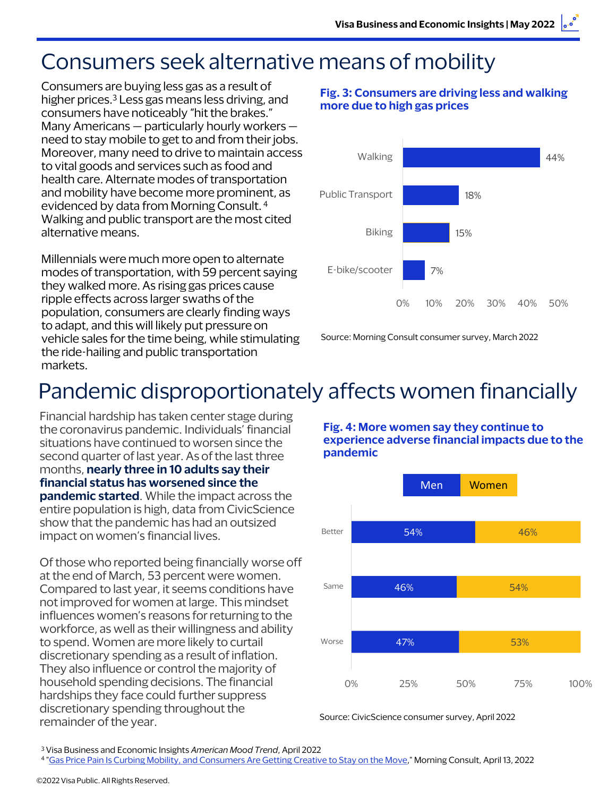# Consumers seek alternative means of mobility

Consumers are buying less gas as a result of higher prices.<sup>3</sup> Less gas means less driving, and consumers have noticeably "hit the brakes." Many Americans — particularly hourly workers need to stay mobile to get to and from their jobs. Moreover, many need to drive to maintain access to vital goods and services such as food and health care. Alternate modes of transportation and mobility have become more prominent, as evidenced by data from Morning Consult. 4 Walking and public transport are the most cited alternative means.

Millennials were much more open to alternate modes of transportation, with 59 percent saying they walked more. As rising gas prices cause ripple effects across larger swaths of the population, consumers are clearly finding ways to adapt, and this will likely put pressure on vehicle sales for the time being, while stimulating the ride-hailing and public transportation markets.

#### **Fig. 3: Consumers are driving less and walking more due to high gas prices**



Source: Morning Consult consumer survey, March 2022

# Pandemic disproportionately affects women financially

Financial hardship has taken center stage during the coronavirus pandemic. Individuals' financial situations have continued to worsen since the second quarter of last year. As of the last three months, **nearly three in 10 adults say their financial status has worsened since the pandemic started**. While the impact across the entire population is high, data from CivicScience show that the pandemic has had an outsized impact on women's financial lives.

Of those who reported being financially worse off at the end of March, 53 percent were women. Compared to last year, it seems conditions have not improved for women at large. This mindset influences women's reasons for returning to the workforce, as well as their willingness and ability to spend. Women are more likely to curtail discretionary spending as a result of inflation. They also influence or control the majority of household spending decisions. The financial hardships they face could further suppress discretionary spending throughout the remainder of the year.

**Fig. 4: More women say they continue to experience adverse financial impacts due to the pandemic**



Source: CivicScience consumer survey, April 2022

<sup>3</sup> Visa Business and Economic Insights *American Mood Trend*, April 2022

<sup>4</sup> "Gas Price Pain Is [Curbing Mobility, and Consumers](https://morningconsult.com/2022/04/13/gas-price-pain-curbing-mobility) Are Getting Creative to Stay on the Move," Morning Consult, April 13, 2022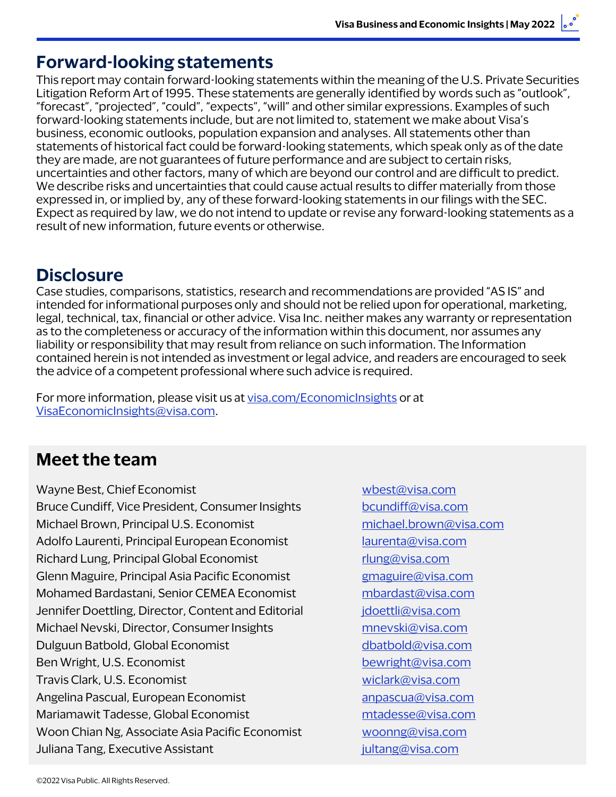### **Forward-looking statements**

This report may contain forward-looking statements within the meaning of the U.S. Private Securities Litigation Reform Art of 1995. These statements are generally identified by words such as "outlook", "forecast", "projected", "could", "expects", "will" and other similar expressions. Examples of such forward-looking statements include, but are not limited to, statement we make about Visa's business, economic outlooks, population expansion and analyses. All statements other than statements of historical fact could be forward-looking statements, which speak only as of the date they are made, are not guarantees of future performance and are subject to certain risks, uncertainties and other factors, many of which are beyond our control and are difficult to predict. We describe risks and uncertainties that could cause actual results to differ materially from those expressed in, or implied by, any of these forward-looking statements in our filings with the SEC. Expect as required by law, we do not intend to update or revise any forward-looking statements as a result of new information, future events or otherwise.

### **Disclosure**

Case studies, comparisons, statistics, research and recommendations are provided "AS IS" and intended for informational purposes only and should not be relied upon for operational, marketing, legal, technical, tax, financial or other advice. Visa Inc. neither makes any warranty or representation as to the completeness or accuracy of the information within this document, nor assumes any liability or responsibility that may result from reliance on such information. The Information contained herein is not intended as investment or legal advice, and readers are encouraged to seek the advice of a competent professional where such advice is required.

For more information, please visit us at [visa.com/EconomicInsights](www.visa.com/EconomicInsights) or at [VisaEconomicInsights@visa.com.](mailto:VisaEconomicInsights@visa.com)

## **Meet the team**

Wayne Best, Chief Economist Wayne Best, Chief Economist Bruce Cundiff, Vice President, Consumer Insights [bcundiff@visa.com](mailto:bcundiff@visa.com) Michael Brown, Principal U.S. Economist [michael.brown@visa.com](mailto:michael.brown@visa.com) Adolfo Laurenti, Principal European Economist [laurenta@visa.com](mailto:laurenta@visa.com) Richard Lung, Principal Global Economist richard Lung@visa.com Glenn Maguire, Principal Asia Pacific Economist *[gmaguire@visa.com](mailto:gmaguire@visa.com)* Mohamed Bardastani, Senior CEMEA Economist [mbardast@visa.com](mailto:mbardast@visa.com) Jennifer Doettling, Director, Content and Editorial *[jdoettli@visa.com](mailto:jdoettli@visa.com)* Michael Nevski, Director, Consumer Insights music [mnevski@visa.com](mailto:mnevski@visa.com) Dulguun Batbold, Global Economist [dbatbold@visa.com](mailto:dbatbold@visa.com) Ben Wright, U.S. Economist [bewright@visa.com](mailto:bewright@visa.com) Travis Clark, U.S. Economist [wiclark@visa.com](mailto:wiclark@visa.com) Angelina Pascual, European Economist annual annual annual annual annual annual annual annual annual annual annu Mariamawit Tadesse, Global Economist metal metal [mtadesse@visa.com](mailto:mtadesse@visa.com) Woon Chian Ng, Associate Asia Pacific Economist [woonng@visa.com](mailto:woonng@visa.com) Juliana Tang, Executive Assistant [jultang@visa.com](mailto:jultang@visa.com)